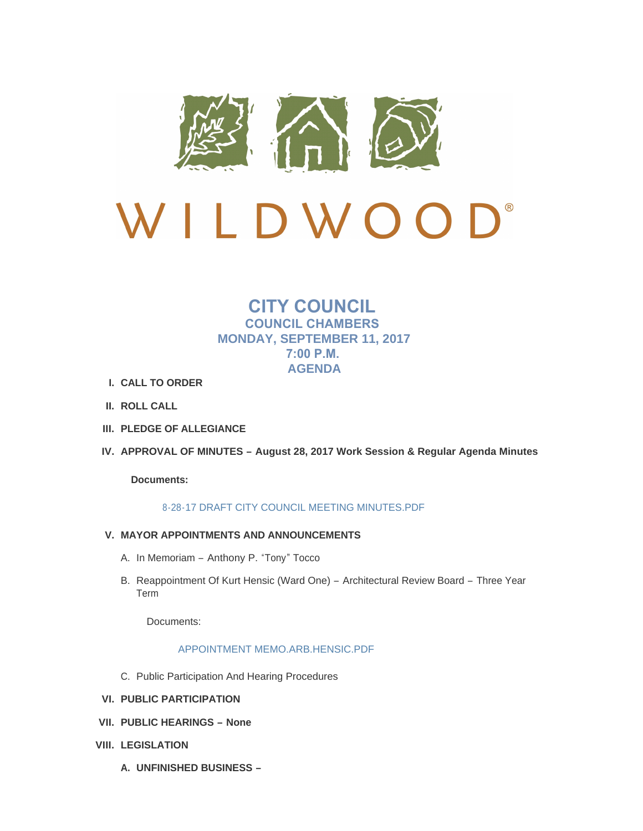

# $\bigcup$ <sup>®</sup> LDWOO  $\sqrt{ }$

# **CITY COUNCIL COUNCIL CHAMBERS MONDAY, SEPTEMBER 11, 2017 7:00 P.M. AGENDA**

- **CALL TO ORDER I.**
- **ROLL CALL II.**
- **PLEDGE OF ALLEGIANCE III.**
- **APPROVAL OF MINUTES – August 28, 2017 Work Session & Regular Agenda Minutes IV.**

**Documents:**

## [8-28-17 DRAFT CITY COUNCIL MEETING MINUTES.PDF](http://cityofwildwood.com/AgendaCenter/ViewFile/Item/12201?fileID=17572)

- **MAYOR APPOINTMENTS AND ANNOUNCEMENTS V.**
	- A. In Memoriam Anthony P. "Tony" Tocco
	- B. Reappointment Of Kurt Hensic (Ward One) Architectural Review Board Three Year Term

Documents:

## [APPOINTMENT MEMO.ARB.HENSIC.PDF](http://cityofwildwood.com/AgendaCenter/ViewFile/Item/12204?fileID=17596)

- C. Public Participation And Hearing Procedures
- **PUBLIC PARTICIPATION VI.**
- **PUBLIC HEARINGS – None VII.**
- **LEGISLATION VIII.**
	- **UNFINISHED BUSINESS – A.**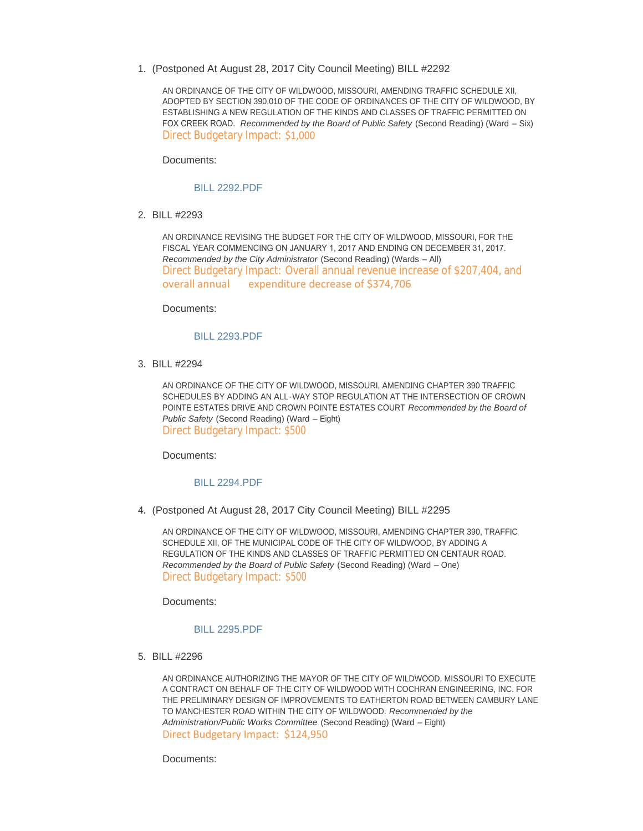(Postponed At August 28, 2017 City Council Meeting) BILL #2292 1.

AN ORDINANCE OF THE CITY OF WILDWOOD, MISSOURI, AMENDING TRAFFIC SCHEDULE XII, ADOPTED BY SECTION 390.010 OF THE CODE OF ORDINANCES OF THE CITY OF WILDWOOD, BY ESTABLISHING A NEW REGULATION OF THE KINDS AND CLASSES OF TRAFFIC PERMITTED ON FOX CREEK ROAD. *Recommended by the Board of Public Safety* (Second Reading) (Ward – Six) Direct Budgetary Impact: \$1,000

Documents:

#### [BILL 2292.PDF](http://cityofwildwood.com/AgendaCenter/ViewFile/Item/12217?fileID=17574)

BILL #2293 2.

AN ORDINANCE REVISING THE BUDGET FOR THE CITY OF WILDWOOD, MISSOURI, FOR THE FISCAL YEAR COMMENCING ON JANUARY 1, 2017 AND ENDING ON DECEMBER 31, 2017. *Recommended by the City Administrator* (Second Reading) (Wards – All) Direct Budgetary Impact: Overall annual revenue increase of \$207,404, and overall annual expenditure decrease of \$374,706

Documents:

#### [BILL 2293.PDF](http://cityofwildwood.com/AgendaCenter/ViewFile/Item/12218?fileID=17575)

BILL #2294 3.

AN ORDINANCE OF THE CITY OF WILDWOOD, MISSOURI, AMENDING CHAPTER 390 TRAFFIC SCHEDULES BY ADDING AN ALL-WAY STOP REGULATION AT THE INTERSECTION OF CROWN POINTE ESTATES DRIVE AND CROWN POINTE ESTATES COURT *Recommended by the Board of Public Safety* (Second Reading) (Ward – Eight) Direct Budgetary Impact: \$500

Documents:

#### [BILL 2294.PDF](http://cityofwildwood.com/AgendaCenter/ViewFile/Item/12219?fileID=17576)

(Postponed At August 28, 2017 City Council Meeting) BILL #2295 4.

AN ORDINANCE OF THE CITY OF WILDWOOD, MISSOURI, AMENDING CHAPTER 390, TRAFFIC SCHEDULE XII, OF THE MUNICIPAL CODE OF THE CITY OF WILDWOOD, BY ADDING A REGULATION OF THE KINDS AND CLASSES OF TRAFFIC PERMITTED ON CENTAUR ROAD. *Recommended by the Board of Public Safety* (Second Reading) (Ward – One) Direct Budgetary Impact: \$500

Documents:

#### [BILL 2295.PDF](http://cityofwildwood.com/AgendaCenter/ViewFile/Item/12220?fileID=17577)

BILL #2296 5.

AN ORDINANCE AUTHORIZING THE MAYOR OF THE CITY OF WILDWOOD, MISSOURI TO EXECUTE A CONTRACT ON BEHALF OF THE CITY OF WILDWOOD WITH COCHRAN ENGINEERING, INC. FOR THE PRELIMINARY DESIGN OF IMPROVEMENTS TO EATHERTON ROAD BETWEEN CAMBURY LANE TO MANCHESTER ROAD WITHIN THE CITY OF WILDWOOD. *Recommended by the Administration/Public Works Committee* (Second Reading) (Ward – Eight) Direct Budgetary Impact: \$124,950

Documents: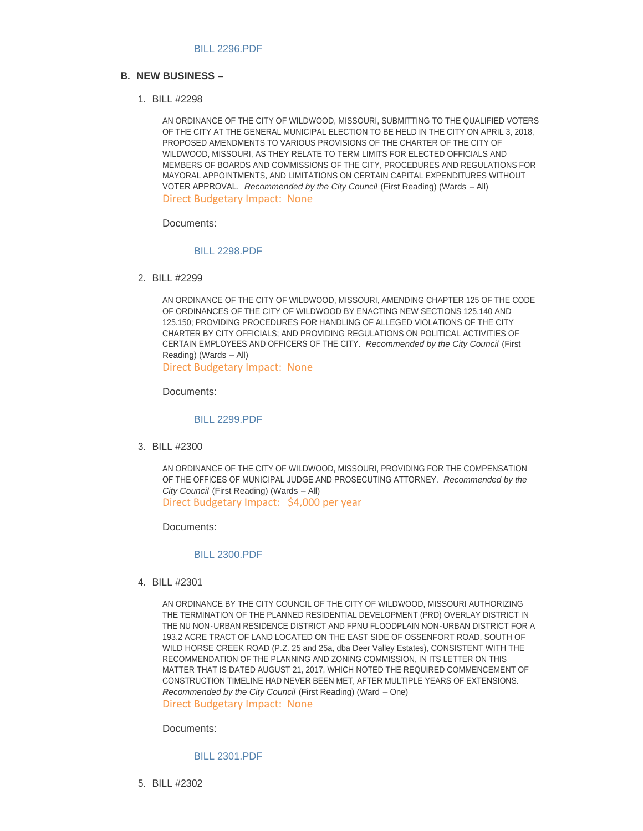#### **NEW BUSINESS – B.**

BILL #2298 1.

AN ORDINANCE OF THE CITY OF WILDWOOD, MISSOURI, SUBMITTING TO THE QUALIFIED VOTERS OF THE CITY AT THE GENERAL MUNICIPAL ELECTION TO BE HELD IN THE CITY ON APRIL 3, 2018, PROPOSED AMENDMENTS TO VARIOUS PROVISIONS OF THE CHARTER OF THE CITY OF WILDWOOD, MISSOURI, AS THEY RELATE TO TERM LIMITS FOR ELECTED OFFICIALS AND MEMBERS OF BOARDS AND COMMISSIONS OF THE CITY, PROCEDURES AND REGULATIONS FOR MAYORAL APPOINTMENTS, AND LIMITATIONS ON CERTAIN CAPITAL EXPENDITURES WITHOUT VOTER APPROVAL. *Recommended by the City Council* (First Reading) (Wards – All) Direct Budgetary Impact: None

Documents:

#### [BILL 2298.PDF](http://cityofwildwood.com/AgendaCenter/ViewFile/Item/12226?fileID=17605)

BILL #2299 2.

AN ORDINANCE OF THE CITY OF WILDWOOD, MISSOURI, AMENDING CHAPTER 125 OF THE CODE OF ORDINANCES OF THE CITY OF WILDWOOD BY ENACTING NEW SECTIONS 125.140 AND 125.150; PROVIDING PROCEDURES FOR HANDLING OF ALLEGED VIOLATIONS OF THE CITY CHARTER BY CITY OFFICIALS; AND PROVIDING REGULATIONS ON POLITICAL ACTIVITIES OF CERTAIN EMPLOYEES AND OFFICERS OF THE CITY. *Recommended by the City Council* (First Reading) (Wards – All) Direct Budgetary Impact: None

Documents:

#### [BILL 2299.PDF](http://cityofwildwood.com/AgendaCenter/ViewFile/Item/12227?fileID=17582)

BILL #2300 3.

AN ORDINANCE OF THE CITY OF WILDWOOD, MISSOURI, PROVIDING FOR THE COMPENSATION OF THE OFFICES OF MUNICIPAL JUDGE AND PROSECUTING ATTORNEY. *Recommended by the City Council* (First Reading) (Wards – All) Direct Budgetary Impact: \$4,000 per year

Documents:

#### [BILL 2300.PDF](http://cityofwildwood.com/AgendaCenter/ViewFile/Item/12233?fileID=17583)

BILL #2301 4.

AN ORDINANCE BY THE CITY COUNCIL OF THE CITY OF WILDWOOD, MISSOURI AUTHORIZING THE TERMINATION OF THE PLANNED RESIDENTIAL DEVELOPMENT (PRD) OVERLAY DISTRICT IN THE NU NON-URBAN RESIDENCE DISTRICT AND FPNU FLOODPLAIN NON-URBAN DISTRICT FOR A 193.2 ACRE TRACT OF LAND LOCATED ON THE EAST SIDE OF OSSENFORT ROAD, SOUTH OF WILD HORSE CREEK ROAD (P.Z. 25 and 25a, dba Deer Valley Estates), CONSISTENT WITH THE RECOMMENDATION OF THE PLANNING AND ZONING COMMISSION, IN ITS LETTER ON THIS MATTER THAT IS DATED AUGUST 21, 2017, WHICH NOTED THE REQUIRED COMMENCEMENT OF CONSTRUCTION TIMELINE HAD NEVER BEEN MET, AFTER MULTIPLE YEARS OF EXTENSIONS. *Recommended by the City Council* (First Reading) (Ward – One) Direct Budgetary Impact: None

Documents:

[BILL 2301.PDF](http://cityofwildwood.com/AgendaCenter/ViewFile/Item/12234?fileID=17584)